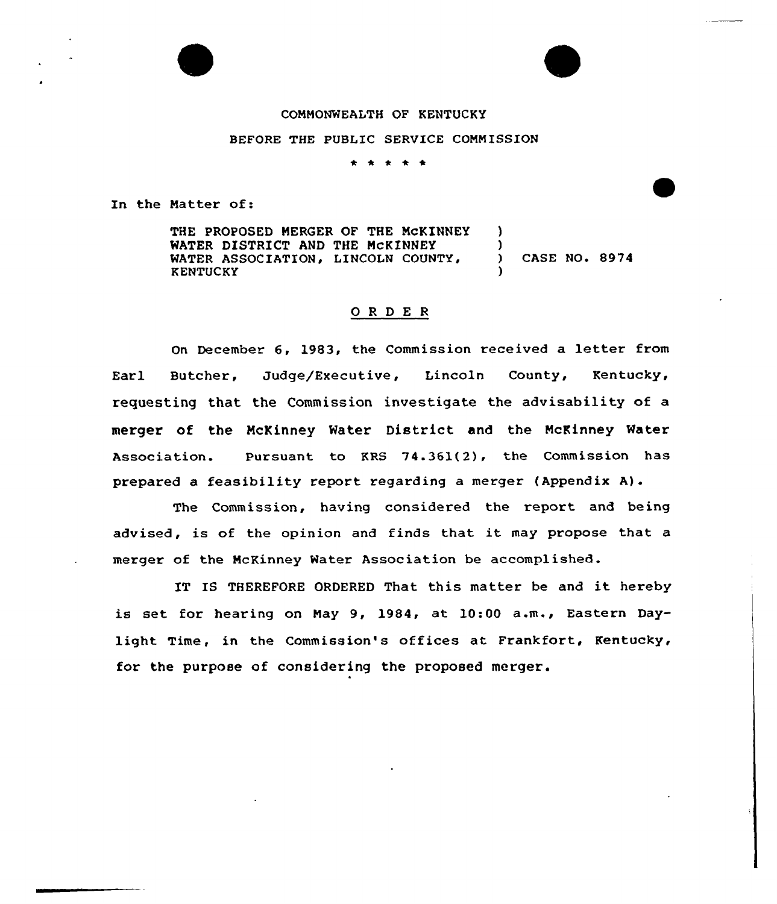

## COMMONWEALTH OF KENTUCKY

BEFORE THE PUBLIC SERVICE COMMISSION

\* \* \* \*

In the Matter of:

THE PROPOSED MERGER OF THE MCKINNEY WATER DISTRICT AND THE MCKINNEY WATER ASSOCIATION, LINCOLN COUNTY, KENTUCKY ) ) ) CASE NO. 8974 )

## 0 <sup>R</sup> <sup>D</sup> E <sup>R</sup>

On December 6, 1983, the Commission received a letter from Earl Butcher, Judge/Executive, Lincoln County, Kentucky, requesting that the Commission investigate the advisability of a merger of the McKinney Water District and the McKinney Water Association. Pursuant to KRS 74.361(2), the Commission has prepared a feasibility report regarding a merger (Appendix A).

The Commission, having considered the report and being advised, is of the opinion and finds that it may propose that <sup>a</sup> merger of the McKinney Water Association be accomplished.

IT IS THEREFORE ORDERED That this matter be and it hereby is set for hearing on May 9, 1984, at 10:00 a.m., Eastern Daylight Time, in the Commission's offices at Frankfort, Kentucky, for the purpose of considering the proposed merger.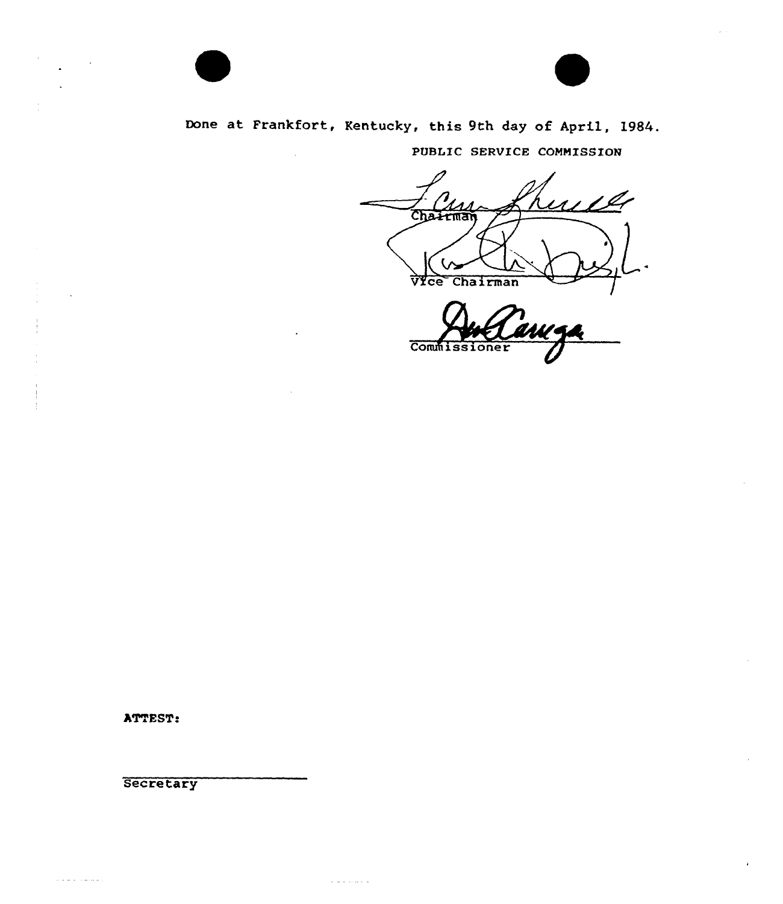

PUBLIC SERVICE COMMISSION

<u>mill</u> Chairman  $\bigoplus$ VIce Chairman  $\overline{I}$ 

Commissioner

ATTEST:

**Secretary** 

الوالا للمناولة والواردة

 $\alpha$  is a second mass.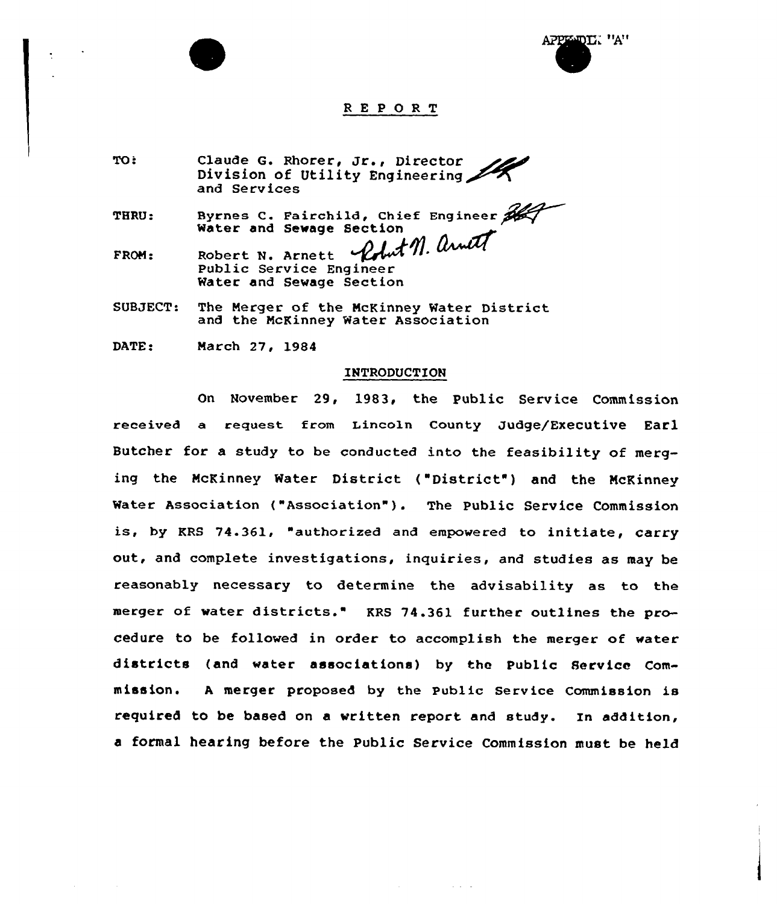



# REPORT

TO: Claude G. Rhorer, Jr., Director Division of Utility Engineering and Services

THRU: Byrnes C. Fairchild, Chief Engineer Water and Sewage Section<br>Robert N. Arnott 1149 Arwill

FROM: Robert N. Arnett Public Service Engineer Water and Sewage Section

SUBJECT: The Merger of the McKinney Water District and the McKinney Water Association

DATE: March 27, l984

#### INTRODUCTION

On November 29, 1983, the public Service Commission received a request from Lincoln County Judge/Executive Earl Butcher for a study to be conducted into the feasibility of merging the McKinney Water District ("District") and the McKinney Water Association ("Association"). The Public Service Commission is, by KRS 74-361, "authorized and empowered to initiate, carry out, and complete investigations, inquiries, and studies as may be reasonably necessary to determine the advisability as to the merger of water districts." KRS 74.361 further outlines the procedure to be followed in order to accomplish the merger of water districts (and water associations) by the Public Service Commission. <sup>A</sup> merger proposed by the Public Service Commission is required to be based on a written report and study. In addition, a formal hearing before the Public Service Commission must be held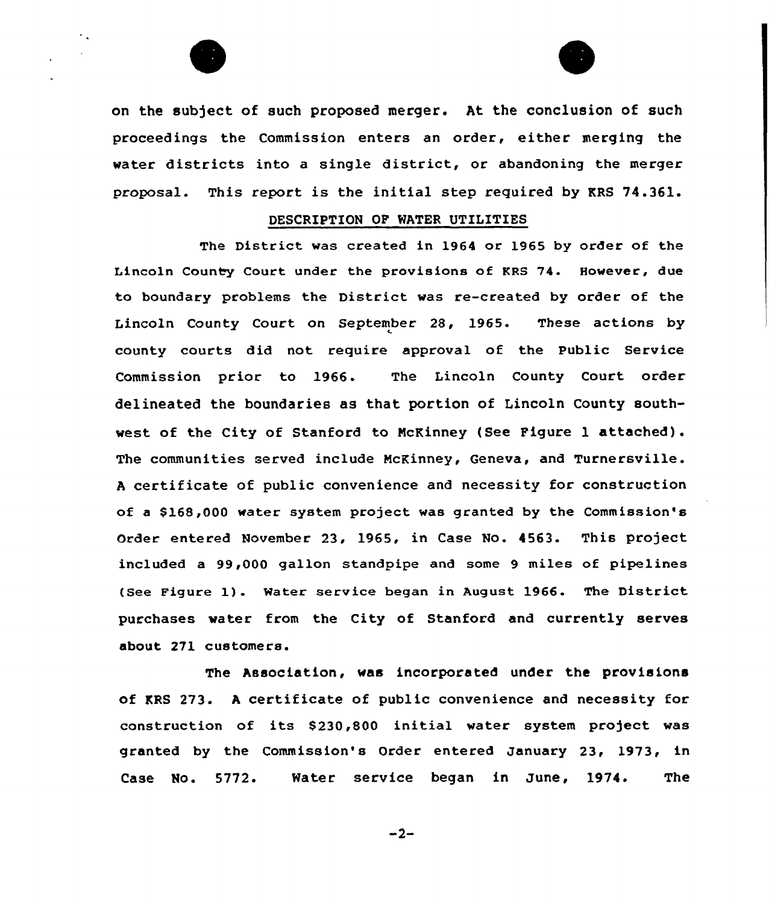

on the subject of such proposed merger. At the conclusion of such proceedings the Commission enters an order, either merging the water districts into <sup>a</sup> single district, or abandoning the merger proposal. This report is the initial step required by KRS 74.361.

## DESCRIPTION OF WATER UTILITIES

The District was created in 1964 or 1965 by order of the Lincoln County Court under the provisions of KRS 74. However, due to boundary problems the District was re-created by order of the Lincoln County Court on September 28, 1965. These actions by county courts did not require approval of the Public Service Commission prior to 1966. The Lincoln County Court order delineated the boundaries as that portion of Lincoln County southwest of the City of Stanford to NcKinney (See Figure l attached). The communities served include NcKinney, Geneva, and Turnersville. <sup>A</sup> certificate of public convenience and necessity for construction of a \$168,000 water system project was granted by the Commission's order entered November 23, 1965, in Case No. 4563. This project included a 99,000 gallon standpipe and some 9 miles of pipelines (See Figure 1). Mater service began in August 1966. The District purchases water from the City of Stanford and currently serves about 271 customers.

The Association, was incorporated under the provisions of KRS 273. <sup>A</sup> certificate of public convenience and necessity for construction of its \$230,800 initial water system project was granted by the Commission's Order entered January 23, 1973, in Case No. 5772. Water service began in June, 1974. The

 $-2-$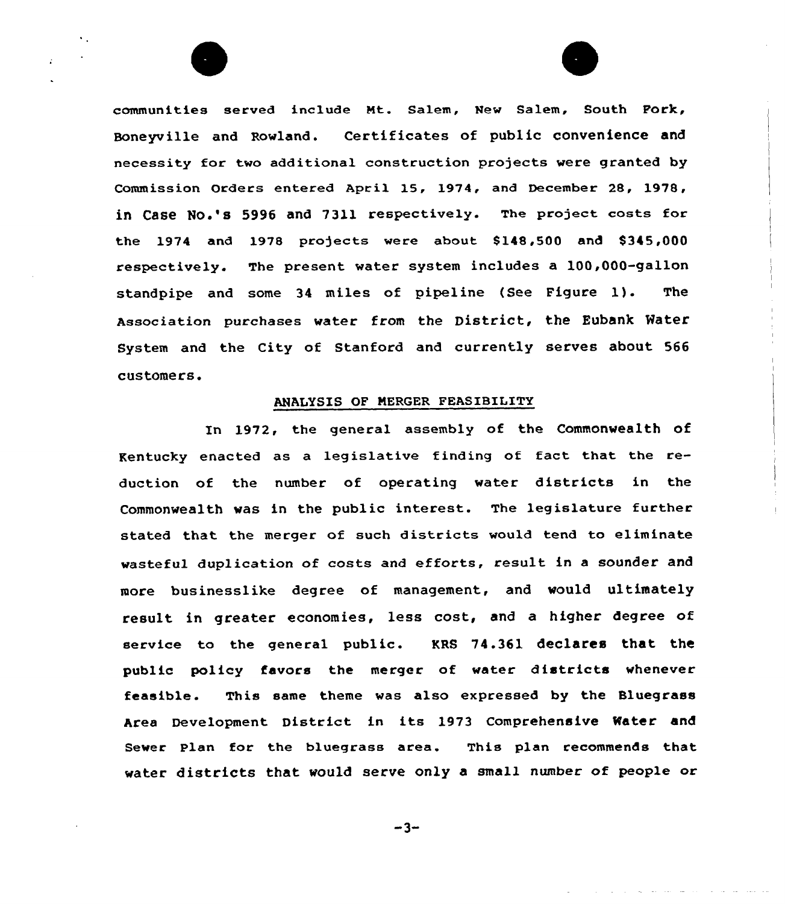communities served include Nt. Salem, New Salem, South Fork, Boneyville and Rowland. Certificates of public convenience and necessity for two additional construction projects were granted by Comm ission Orders entered April 15, 1974, and December 28, 1978, in Case No.'s 5996 and 7311 respectively. The project costs for the 1974 and 1978 projects were about  $$148,500$  and  $$345,000$ respectively. The present water system includes a 100,000-gallon standpipe and some 34 miles of pipeline (See Figure 1). The Association purchases water from the District, the Eubank Mater System and the City of Stanford and currently serves about 566 customers.

### AHALYSIS OF NERGER FEASIBILITY

In 1972, the general assembly of the Commonwealth of Kentucky enacted as a legislative finding of fact that the reduction of the number of operating water districts in the Commonwealth was in the public interest. The legislature further stated that the merger of such districts would tend to eliminate wasteful duplication of costs and efforts, result in <sup>a</sup> sounder and more businesslike degree of management, and would ultimately result in greater economies, less cost, and a higher degree of service to the general public. KRS 74.361 declares that the public policy favors the merger of water districts whenever feasible. This same theme was also expressed by the Bluegrass Area Development District in its 1973 Comprehensive Water and Sewer Plan for the bluegrass area. This plan recommends that water districts that would serve only <sup>a</sup> small number of people or

 $-3-$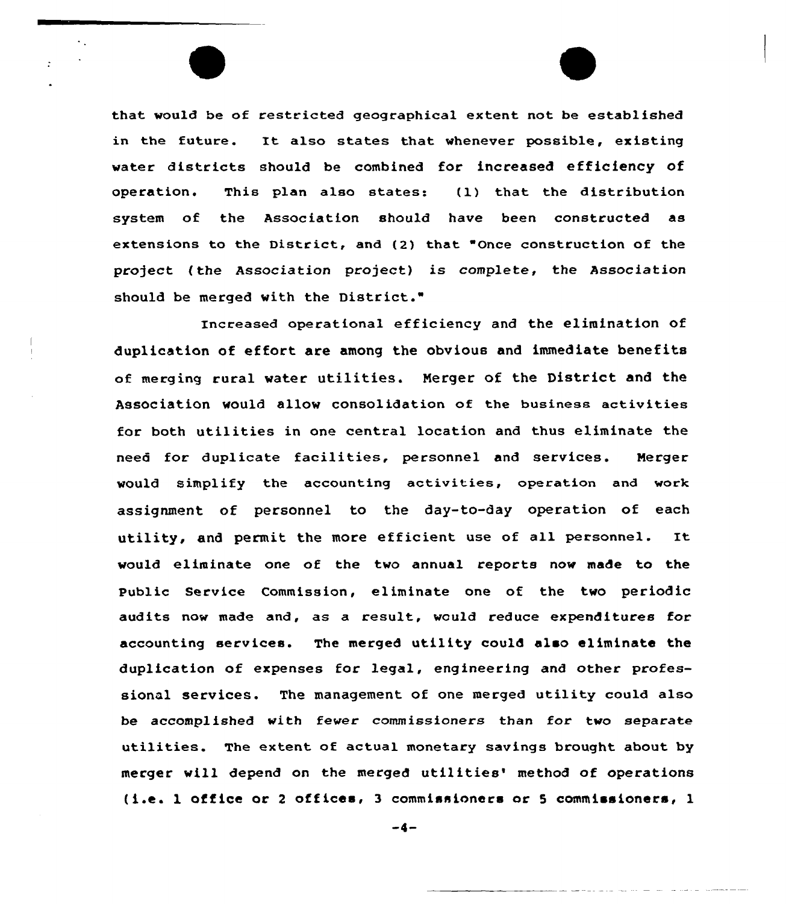that would be of restricted geographical extent not be established in the future. It also states that whenever possible, existing water districts should be combined for increased efficiency of operation. This plan also states: (l) that the distribution system of the Association should have been constructed as extensions to the District, and (2) that "Once construction of the project (the Association project) is complete, the Association should be merged with the District."

Increased operational efficiency and the elimination of duplication of effort are among the obvious and immediate benefits of merging rural water utilities. Merger of the District and the Association would allow consolidation of the business activities for both utilities in one central location and thus eliminate the need for duplicate facilities, personnel and services. Merger would simplify the accounting activities, operation and work assignment of personnel to the day-to-day operation of each utility, and permit the more efficient use of all personnel. It would eliminate one of the two annual reports now made to the Public Service Commission, eliminate one of the two periodic audits now made and, as a result, would reduce expenditures for accounting services. The merged utility could also eliminate the duplication of expenses for legal, engineering and other professional services. The management of one merged utility could also be accomplished with fewer commissioners than for two separate utilities. The extent of actual monetary savings brought about by merger will depend on the merged utilities' method of operations (i.e. l office or <sup>2</sup> offices, <sup>3</sup> commissioners or <sup>5</sup> commissioners, l

 $-4-$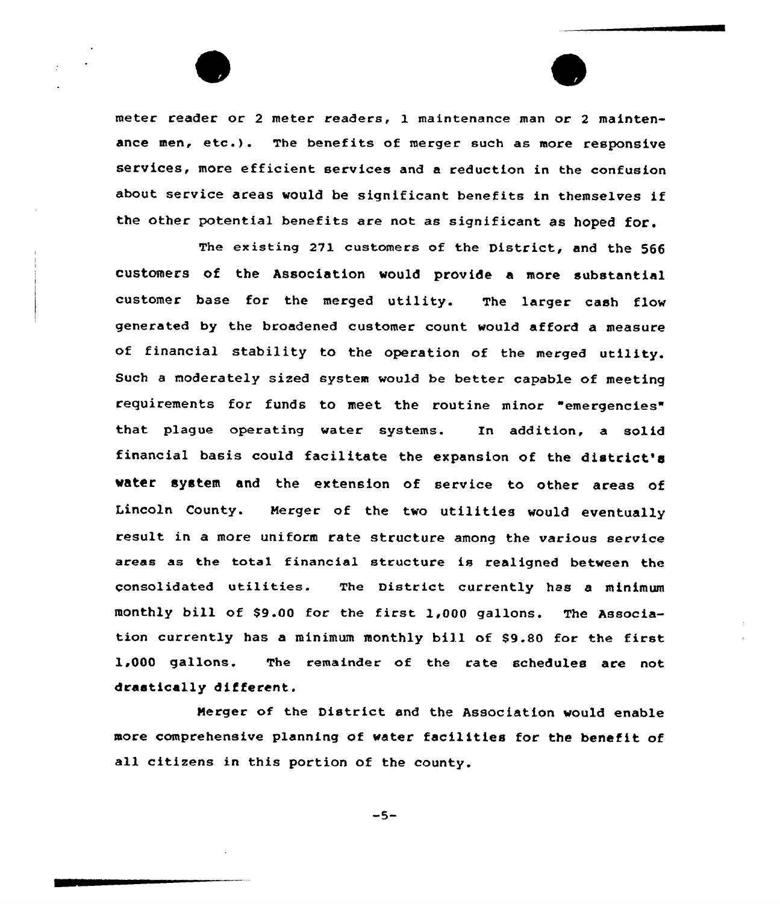meter reader or <sup>2</sup> meter readers, 1 maintenance man or <sup>2</sup> maintenance men,  $etc.$ ). The benefits of merger such as more responsive services, more efficient services and a reduction in the confusion about service areas would be significant benefits in themselves if the other potential benefits are not as siqnificant as hoped for.

The existing 271 customers of the District, and the 566 customers of the Association would provide a more substantial customer base for the merged utility. The larger cash flow generated by the broadened customer count would afford a measure of financial stability to the operation of the merqed utility. Such a moderately sized system would be better capable of meeting requirements for funds to meet the routine minor "emergencies" that plague operating water systems. Tn addition, a solid financial basis could facilitate the expansion of the district's water system and the extension of service to other areas of Lincoln County. Merger of the two utilities would eventually result in a more uniform rate structure among the various service areas as the total financial structure is realigned between the consolidated utilities. The District currently has <sup>a</sup> minimum monthly bill of 89.00 for the first 1,000 gallons. The Association currently has <sup>a</sup> minimum monthly bill of \$9.80 for the first 1,000 gallons. The remainder of the rate schedules are not drastically different.

Merger of the District and the Association would enable more comprehensive planninq of water facilities for the benefit of all citizens in this portion of the county.

 $-5-$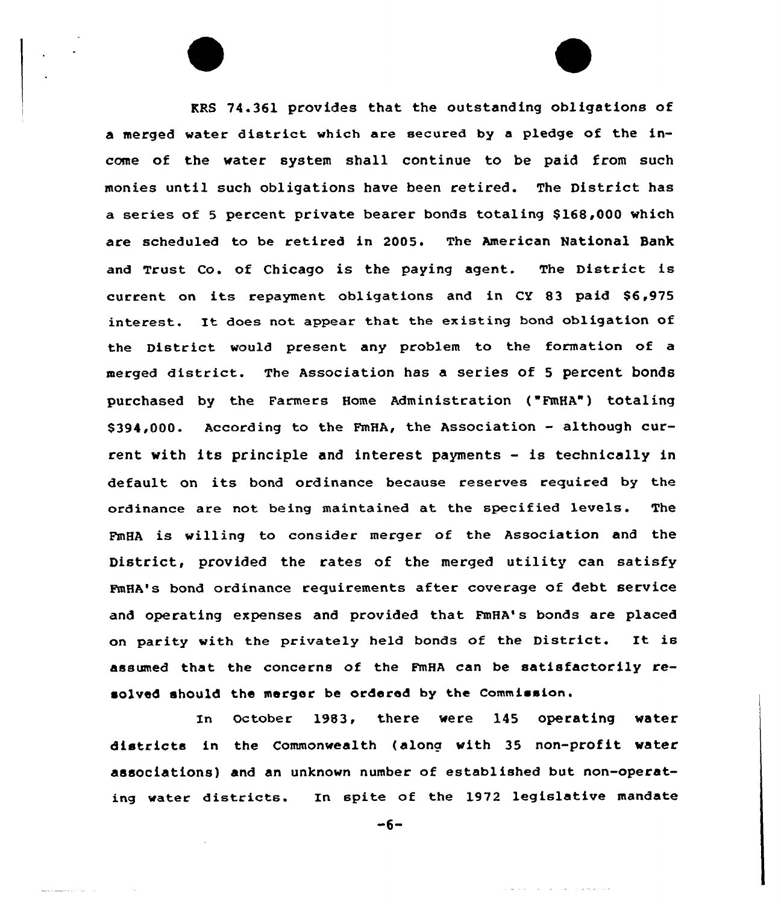RRS 74.361 provides that the outstanding obligations of a merged water district which are secured by <sup>a</sup> pledge of the income of the water system shall continue to be paid from such monies until such obligations have been retired. The District has a series of 5 percent private bearer bonds totaling \$168,000 which are scheduled to be retired in 2005. The American National Bank and Trust co. of chicago is the paying agent. The District is current on its repayment obligations and in CY 83 paid \$6,975 interest. It does not appear that the existing bond obligation of the District would present any problem to the formation of a merged district. The Association has <sup>a</sup> series of <sup>5</sup> percent bonds purchased by the Farmers Home Administration {"PmHA") totaling \$394,000. According to the FmHA, the Association - although current with its principle and interest payments — is technically in default on its bond ordinance because reserves required by the ordinance are not being maintained at the specified levels. The FmHA is willing to consider merger of the Association and the District, provided the rates of the merged utility can satisfy FmHA's bond ordinance requirements after coverage of debt service and operating expenses and provided that FmHA's bonds are placed on parity with the privately held bonds of the District. It is assumed that the concerns of the FmHA can be satisfactorily resolved should the merger be ordered by the Commission.

In October 1983, there were 145 operating water districts in the Commonwealth {along with 35 non-profit water associations) and an unknown number of established but non-operating water districts. In spite of the 1972 legislative mandate

 $-6-$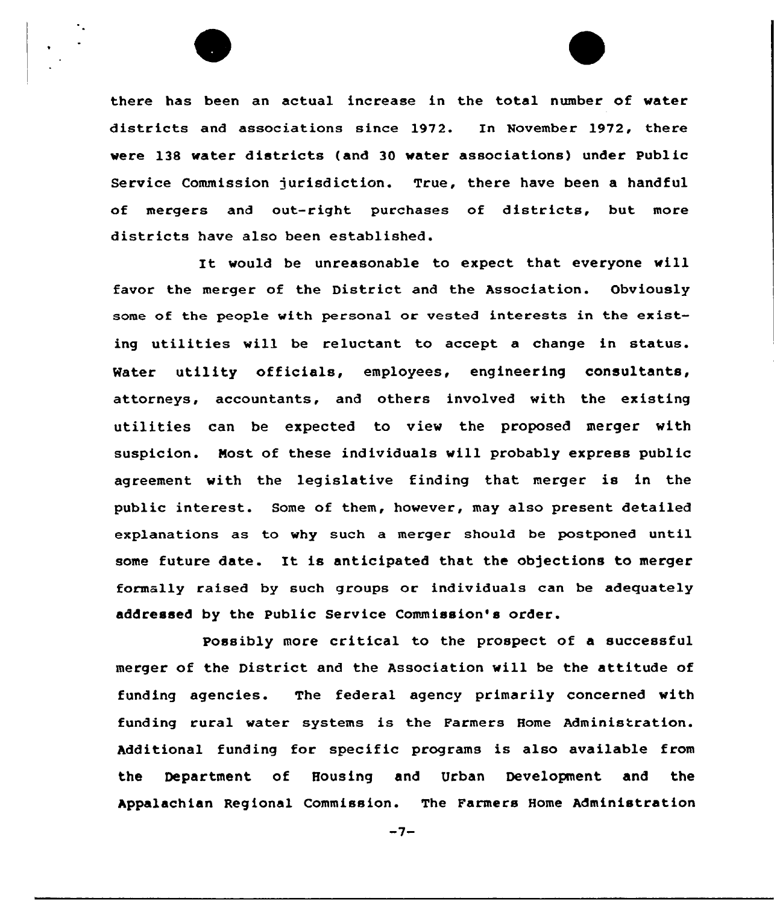

there has been an actual increase in the total number of water districts and associations since 1972. In November 1972, there were 138 water districts (and 30 water associations) under Public Service Commission jurisdiction. True, there have been a handful of mergers and out-right purchases of districts, but more districts have also been established.

It would be unreasonable to expect that everyone will favor the merger of the District and the Association. Obviously some of the people with personal or vested interests in the existing utilities will be reluctant to accept a change in status. Water utility officials, employees, engineering consultants, attorneys, accountants, and others involved with the existing utilities can be expected to view the proposed merger with suspicion. Most of these individuals will probably express public agreement with the legislative finding that merger is in the public interest. Some of them, however, may also present detailed explanations as to why such a merger should be postponed until some future date. It is anticipated that the objections to merger formally raised by such groups or individuals can be adequately addressed by the Public Service Commission's order.

Possibly more critical to the prospect of a successful merger of the District and the Association will be the attitude of funding agencies. The federal agency primarily concerned with funding rural water systems is the Farmers Home Administration. Additional funding for specific programs is also available from the Department of Housing and Urban Development and the Appalachian Regional Commission. The Farmers Home Administration

 $-7-$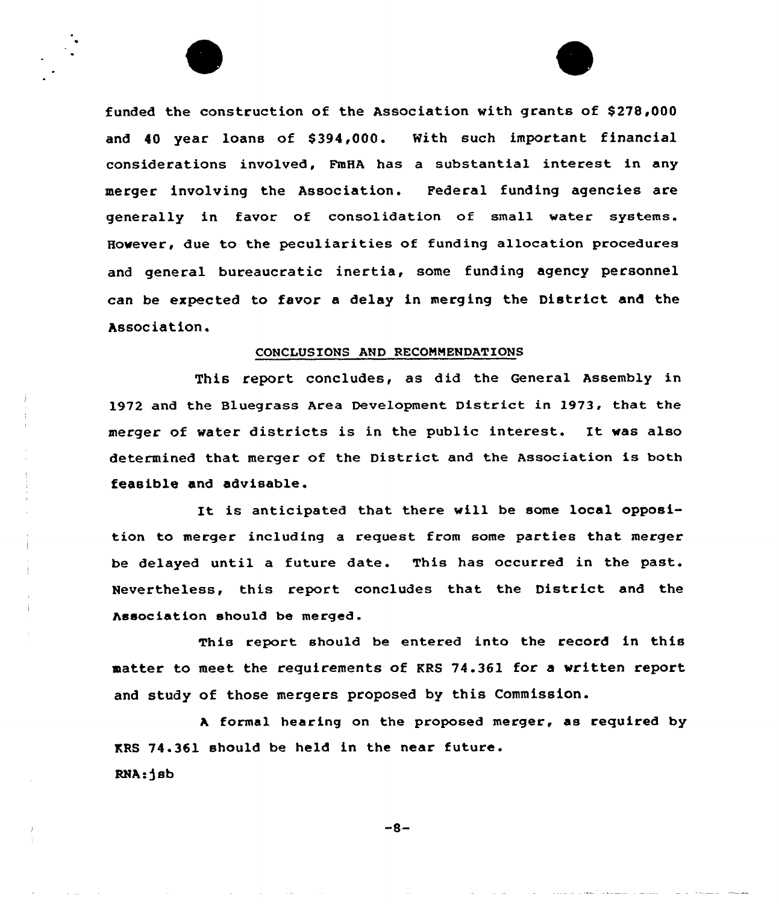funded the construction of the Association with grants of \$ 278,000 and 40 year loans of \$394,000. With such important financial considerations involved, FmHA has a substantial interest in any merger involving the Association. Pederal funding agencies are generally in favor of consolidation of small water systems. However, due to the peculiarities of funding allocation procedures and general bureaucratic inertia, some funding agency personnel can be expected to favor a delay in merging the District and the Association.

#### CONCLUSIONS AND RECOMMENDATIONS

This report concludes, as did the General Assembly in 1972 and the Bluegrass Area Development District in 1973, that the merger of water districts is in the public interest. It was also determined that merger of the District and the Association is both feasible and advisable.

It is anticipated that there will be some local opposition to merger including a request from some parties that merger be delayed until a future date. This has occurred in the past. Nevertheless, this report concludes that the District and the Association should be merged.

This report should be entered into the record in this matter to meet the requirements of KRS 74.361 for a written report and study of those mergers proposed by this Commission.

<sup>A</sup> formal hearing on the proposed merger, as required by KRS 74.361 should be held in the near future. RNA-)sb

 $-8-$